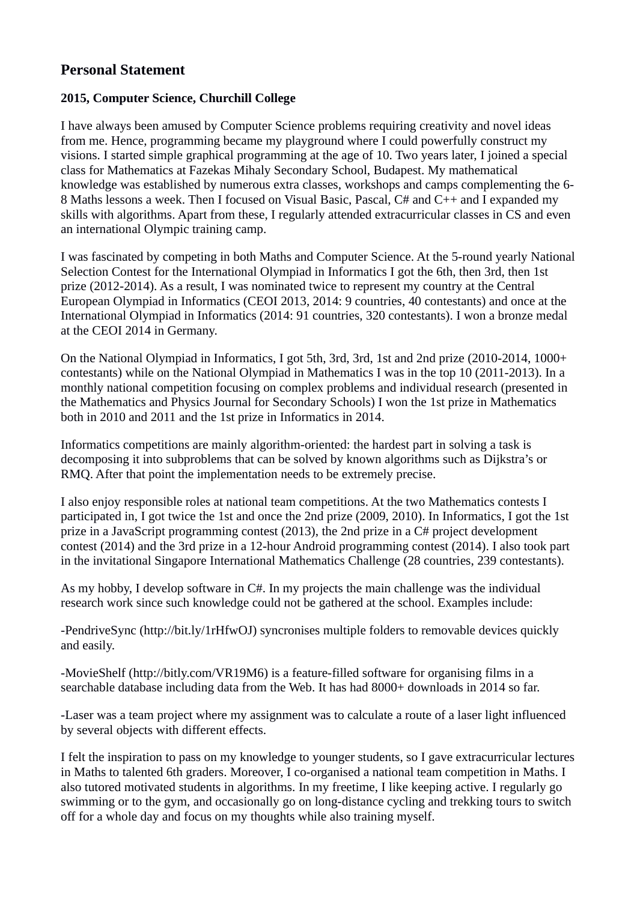## **Personal Statement**

## **2015, Computer Science, Churchill College**

I have always been amused by Computer Science problems requiring creativity and novel ideas from me. Hence, programming became my playground where I could powerfully construct my visions. I started simple graphical programming at the age of 10. Two years later, I joined a special class for Mathematics at Fazekas Mihaly Secondary School, Budapest. My mathematical knowledge was established by numerous extra classes, workshops and camps complementing the 6- 8 Maths lessons a week. Then I focused on Visual Basic, Pascal, C# and C++ and I expanded my skills with algorithms. Apart from these, I regularly attended extracurricular classes in CS and even an international Olympic training camp.

I was fascinated by competing in both Maths and Computer Science. At the 5-round yearly National Selection Contest for the International Olympiad in Informatics I got the 6th, then 3rd, then 1st prize (2012-2014). As a result, I was nominated twice to represent my country at the Central European Olympiad in Informatics (CEOI 2013, 2014: 9 countries, 40 contestants) and once at the International Olympiad in Informatics (2014: 91 countries, 320 contestants). I won a bronze medal at the CEOI 2014 in Germany.

On the National Olympiad in Informatics, I got 5th, 3rd, 3rd, 1st and 2nd prize (2010-2014, 1000+ contestants) while on the National Olympiad in Mathematics I was in the top 10 (2011-2013). In a monthly national competition focusing on complex problems and individual research (presented in the Mathematics and Physics Journal for Secondary Schools) I won the 1st prize in Mathematics both in 2010 and 2011 and the 1st prize in Informatics in 2014.

Informatics competitions are mainly algorithm-oriented: the hardest part in solving a task is decomposing it into subproblems that can be solved by known algorithms such as Dijkstra's or RMQ. After that point the implementation needs to be extremely precise.

I also enjoy responsible roles at national team competitions. At the two Mathematics contests I participated in, I got twice the 1st and once the 2nd prize (2009, 2010). In Informatics, I got the 1st prize in a JavaScript programming contest (2013), the 2nd prize in a C# project development contest (2014) and the 3rd prize in a 12-hour Android programming contest (2014). I also took part in the invitational Singapore International Mathematics Challenge (28 countries, 239 contestants).

As my hobby, I develop software in C#. In my projects the main challenge was the individual research work since such knowledge could not be gathered at the school. Examples include:

-PendriveSync (http://bit.ly/1rHfwOJ) syncronises multiple folders to removable devices quickly and easily.

-MovieShelf (http://bitly.com/VR19M6) is a feature-filled software for organising films in a searchable database including data from the Web. It has had 8000+ downloads in 2014 so far.

-Laser was a team project where my assignment was to calculate a route of a laser light influenced by several objects with different effects.

I felt the inspiration to pass on my knowledge to younger students, so I gave extracurricular lectures in Maths to talented 6th graders. Moreover, I co-organised a national team competition in Maths. I also tutored motivated students in algorithms. In my freetime, I like keeping active. I regularly go swimming or to the gym, and occasionally go on long-distance cycling and trekking tours to switch off for a whole day and focus on my thoughts while also training myself.